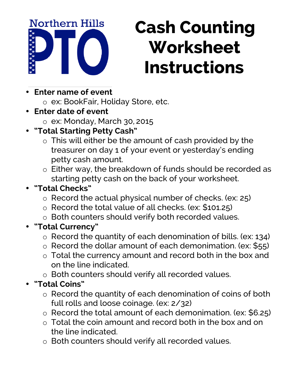**Northern Hills** 

## **Cash Counting Worksheet Instructions**

- **Enter name of event** 
	- o ex: BookFair, Holiday Store, etc.
- **Enter date of event** 
	- o ex: Monday, March 30, 2015
- **"Total Starting Petty Cash"**
	- o This will either be the amount of cash provided by the treasurer on day 1 of your event or yesterday's ending petty cash amount.
	- o Either way, the breakdown of funds should be recorded as starting petty cash on the back of your worksheet.

## • **"Total Checks"**

- o Record the actual physical number of checks. (ex: 25)
- o Record the total value of all checks. (ex: \$101.25)
- o Both counters should verify both recorded values.
- **"Total Currency"**
	- o Record the quantity of each denomination of bills. (ex: 134)
	- o Record the dollar amount of each demonimation. (ex: \$55)
	- o Total the currency amount and record both in the box and on the line indicated.
	- o Both counters should verify all recorded values.
- **"Total Coins"**
	- o Record the quantity of each denomination of coins of both full rolls and loose coinage. (ex: 2/32)
	- o Record the total amount of each demonimation. (ex: \$6.25)
	- o Total the coin amount and record both in the box and on the line indicated.
	- o Both counters should verify all recorded values.